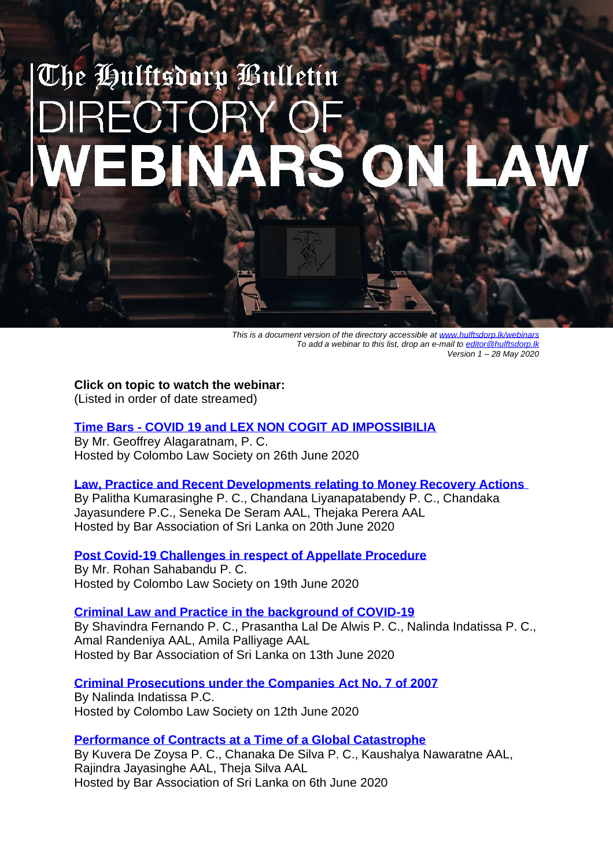# The Hulftsdorp Bulletín

*This is a document version of the directory accessible at www.hulftsdorp.lk/web To add a webinar to this list, drop an e-mail to [editor@hulftsdorp.lk](mailto:editor@hulftsdorp.lk) Version 1 – 28 May 2020*

**Click on topic to watch the webinar:** (Listed in order of date streamed)

## **Time Bars - [COVID 19 and LEX NON COGIT AD IMPOSSIBILIA](https://www.hulftsdorp.lk/c19-timebars-webinar.html)**

By Mr. Geoffrey Alagaratnam, P. C. Hosted by Colombo Law Society on 26th June 2020

#### **[Law, Practice and Recent Developments relating to Money Recovery Actions](https://www.hulftsdorp.lk/money-recovery-basl.html)**

By Palitha Kumarasinghe P. C., Chandana Liyanapatabendy P. C., Chandaka Jayasundere P.C., Seneka De Seram AAL, Thejaka Perera AAL Hosted by Bar Association of Sri Lanka on 20th June 2020

## **[Post Covid-19 Challenges in respect of Appellate Procedure](https://www.hulftsdorp.lk/c19-appeal-challenges-cls.html)**

By Mr. Rohan Sahabandu P. C. Hosted by Colombo Law Society on 19th June 2020

# **[Criminal Law and Practice in the background of COVID-19](https://www.hulftsdorp.lk/criminal-law-basl-webinar.html)**

By Shavindra Fernando P. C., Prasantha Lal De Alwis P. C., Nalinda Indatissa P. C., Amal Randeniya AAL, Amila Palliyage AAL Hosted by Bar Association of Sri Lanka on 13th June 2020

## **[Criminal Prosecutions under the Companies Act No. 7 of 2007](https://www.hulftsdorp.lk/criminial-companies-act.html)**

By Nalinda Indatissa P.C. Hosted by Colombo Law Society on 12th June 2020

## **[Performance of Contracts at a Time of a Global Catastrophe](https://www.hulftsdorp.lk/contracts-webinar-basl.html)**

By Kuvera De Zoysa P. C., Chanaka De Silva P. C., Kaushalya Nawaratne AAL, Rajindra Jayasinghe AAL, Theja Silva AAL Hosted by Bar Association of Sri Lanka on 6th June 2020